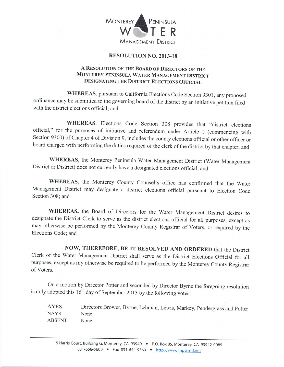

## RESOLUTION NO.2013.18

## A RESOLUTION OF THE BOARD OF DIRECTORS OF THE MONTEREY PENINSULA WATER MANAGEMENT DISTRICT DESIGNATING THE DISTRICT ELECTIONS OFFICIAL

WHEREAS, pursuant to California Elections Code Section 9301, any proposed ordinance may be submitted to the goveming board of the district by an initiative petition filed with the district elections official: and

WHEREAS, Elections Code Section 308 provides that "district elections official," for the putposes of initiative and referendum under Article 1 (commencing with Section 9300) of Chapter 4 of Division 9, includes the county elections official or other officer or board charged with performing the duties required of the clerk of the district by that chapter; and

WHEREAS, the Monterey Peninsula Water Management District (Water Management District or District) does not currently have a designated elections official; and

WHEREAS, the Monterey County Counsel's office has confirmed that the Water Management District may designate a district elections official pursuant to Election Code Section 308; and

WHEREAS, the Board of Directors for the Water Management District desires to designate the District Clerk to serve as the district elections official for all purposes, except as may otherwise be performed by the Monterey County Registrar of Voters, or required by the Elections Code; and

NOW, THEREFORE, BE IT RESOLVED AND ORDERED that the District Clerk of the Water Management District shall serve as the District Elections Official for all purposes, except as my otherwise be required to be performed by the Monterey County Registrar of Voters.

On a motion by Director Potter and seconded by Director Byrne the foregoing resolution is duly adopted this  $16<sup>th</sup>$  day of September 2013 by the following votes:

AYES: NAYS: ABSENT: Directors Brower, Byrne, Lehman, Lewis, Markey, pendergrass and potter None None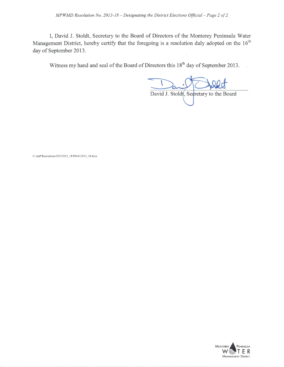MPWMD Resolution No. 2013-18 – Designating the District Elections Official – Page 2 of 2

I, David J. Stoldt, Secretary to the Board of Directors of the Monterey Peninsula Water Management District, hereby certify that the foregoing is a resolution duly adopted on the  $16<sup>th</sup>$ day of September 2013.

Witness my hand and seal of the Board of Directors this 18<sup>th</sup> day of September 2013.

David J. Stoldt, Secretary to the Board

U:\stafAResolutions\2013\2013 18\FINAL2013 18.docx